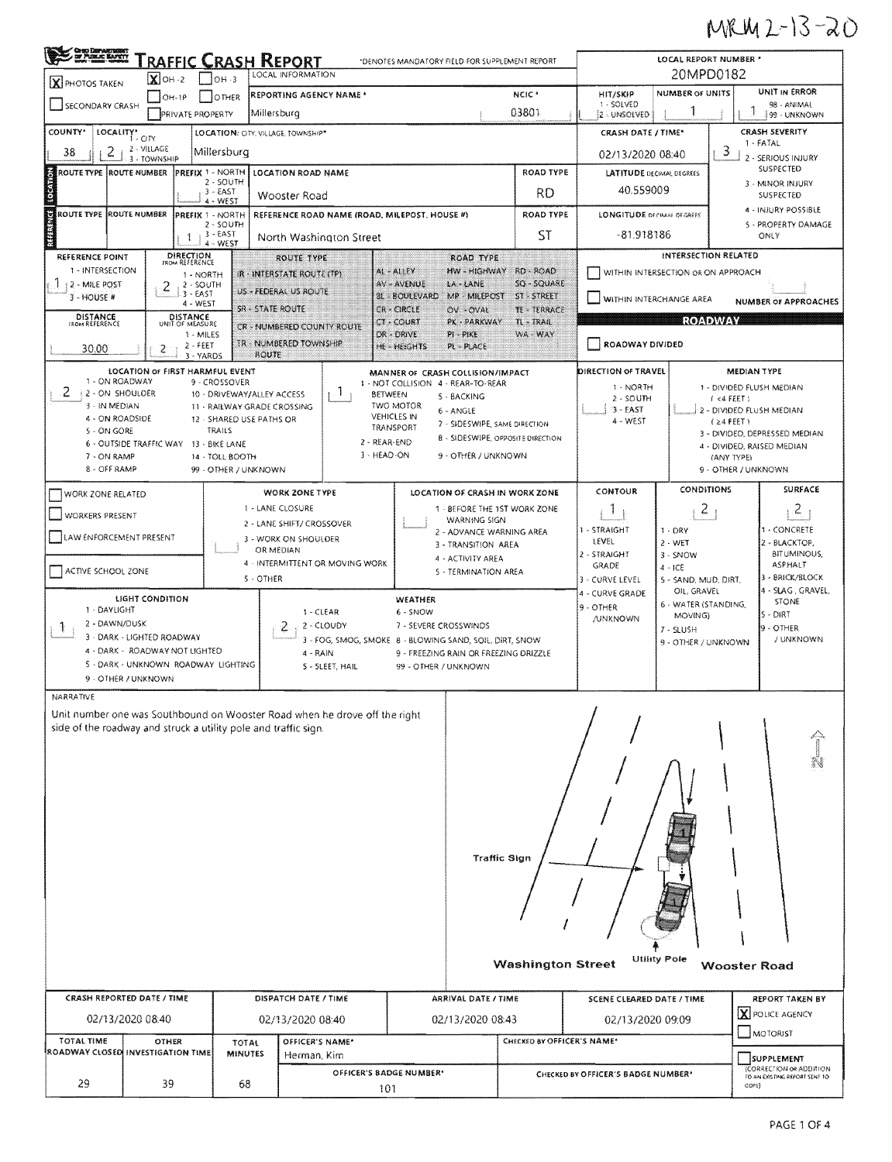## MRM 2-13-20

| OHO DEPARTMENT<br>DE PUBLIC BAPETY<br>Traffic Crash Report<br>*DENOTES MANDATORY FIELD FOR SUPPLEMENT REPORT                                  |                                                                                                              |                                                |                                                              |                                |                                |                                               |                  |                                         |                                                               | LOCAL REPORT NUMBER * |                                      |                                              |                                     |                                              |                                                                        |  |  |
|-----------------------------------------------------------------------------------------------------------------------------------------------|--------------------------------------------------------------------------------------------------------------|------------------------------------------------|--------------------------------------------------------------|--------------------------------|--------------------------------|-----------------------------------------------|------------------|-----------------------------------------|---------------------------------------------------------------|-----------------------|--------------------------------------|----------------------------------------------|-------------------------------------|----------------------------------------------|------------------------------------------------------------------------|--|--|
| X PHOTOS TAKEN                                                                                                                                |                                                                                                              | LOCAL INFORMATION<br>$X$ OH -2<br>$1$ loh $-3$ |                                                              |                                |                                |                                               |                  |                                         |                                                               |                       | 20MPD0182                            |                                              |                                     |                                              |                                                                        |  |  |
| SECONDARY CRASH                                                                                                                               | $[OH-1P]$                                                                                                    |                                                | NCIC <sup>+</sup><br>REPORTING AGENCY NAME *<br><b>OTHER</b> |                                |                                |                                               |                  |                                         |                                                               |                       | HIT/SKIP<br>1 - SOLVED               | <b>NUMBER OF UNITS</b>                       | UNIT IN ERROR<br>98 - ANIMAL        |                                              |                                                                        |  |  |
|                                                                                                                                               |                                                                                                              | PRIVATE PROPERTY                               | 03801<br>Millersburg                                         |                                |                                |                                               |                  |                                         | 2 - UNSOLVED                                                  |                       |                                      | 199 - UNKNOWN                                |                                     |                                              |                                                                        |  |  |
| COUNTY <sup>*</sup>                                                                                                                           | LOCALITY* CITY<br>LOCATION: CITY, VILLAGE, TOWNSHIP*                                                         |                                                |                                                              |                                |                                |                                               |                  |                                         | CRASH DATE / TIME*                                            |                       |                                      | <b>CRASH SEVERITY</b><br>1 - FATAL           |                                     |                                              |                                                                        |  |  |
| 2 - VILLAGE<br>2<br>38<br>Millersburg<br>3 - TOWNSHIP                                                                                         |                                                                                                              |                                                |                                                              |                                |                                |                                               |                  |                                         | 02/13/2020 08:40                                              |                       | 3                                    | 2 - SERIOUS INJURY                           |                                     |                                              |                                                                        |  |  |
|                                                                                                                                               | PREFIX 1 - NORTH<br>ROUTE TYPE ROUTE NUMBER<br>LOCATION ROAD NAME<br>2 - SOUTH                               |                                                |                                                              |                                |                                |                                               | <b>ROAD TYPE</b> |                                         |                                                               |                       | <b>LATITUDE DECIMAL DEGREES</b>      | SUSPECTED<br>3 - MINOR INJURY                |                                     |                                              |                                                                        |  |  |
| <b>Context</b>                                                                                                                                |                                                                                                              |                                                | $3 - EAST$<br>4 - WEST                                       |                                | Wooster Road                   |                                               |                  |                                         |                                                               |                       | <b>RD</b>                            | 40.559009                                    |                                     | SUSPECTED                                    |                                                                        |  |  |
| ROUTE TYPE ROUTE NUMBER                                                                                                                       |                                                                                                              |                                                | PREFIX 1 - NORTH                                             |                                |                                | REFERENCE ROAD NAME (ROAD, MILEPOST, HOUSE #) |                  |                                         |                                                               |                       | ROAD TYPE                            | <b>LONGITUDE DECIMAL DEGREES</b>             |                                     |                                              | 4 - INJURY POSSIBLE                                                    |  |  |
| REFERENCE                                                                                                                                     |                                                                                                              | -1                                             | $2 - 50$ UTH<br>$3 - EAST$                                   |                                | North Washington Street        |                                               |                  |                                         |                                                               | ST                    | $-81.918186$                         |                                              |                                     | 5 - PROPERTY DAMAGE<br>ONLY                  |                                                                        |  |  |
| <b>REFERENCE POINT</b>                                                                                                                        |                                                                                                              | DIRECTION<br>FROM REFERENCE                    | $4 - WEST$                                                   |                                | ROUTE TYPE                     |                                               |                  |                                         | <b>ROAD TYPE</b>                                              |                       |                                      | INTERSECTION RELATED                         |                                     |                                              |                                                                        |  |  |
| 1 - INTERSECTION                                                                                                                              |                                                                                                              | 1 - NORTH                                      |                                                              |                                | IR - INTERSTATE ROUTE (TP)     |                                               |                  | AL-ALLEY                                | HW - HIGHWAY                                                  |                       | RD - ROAD                            |                                              | WITHIN INTERSECTION OR ON APPROACH  |                                              |                                                                        |  |  |
| 12 - MILE POST<br>3 - HOUSE #                                                                                                                 | 2                                                                                                            | $2 - SOUTH$<br>3 - EAST                        |                                                              |                                | US - FEDERAL US ROUTE          |                                               |                  | AV - AVENUE<br>BL - BOULEVARD           | LA - LANE<br>MP - MILEPOST                                    |                       | SQ - SQUARE<br>ST - STREET           | WITHIN INTERCHANGE AREA                      |                                     |                                              |                                                                        |  |  |
| DISTANCE                                                                                                                                      |                                                                                                              | 4 - WEST<br>DISTANCE                           |                                                              | <b>SR - STATE ROUTE</b>        |                                |                                               |                  | CR - CIRCLE                             | OV-OVAL                                                       |                       | TE - TERRACE                         |                                              |                                     |                                              | <b>NUMBER OF APPROACHES</b>                                            |  |  |
| FROM REFERENCE                                                                                                                                |                                                                                                              | UNIT OF MEASURE<br>1 - MILES                   |                                                              |                                |                                | CR - NUMBERED COUNTY ROUTE                    |                  | CT - COURT<br>DR - DRIVE                | PK - PARKWAY<br>PI - PIKE                                     |                       | IL - IRAIL<br>WA WAY                 |                                              |                                     | <b>ROADWAY</b>                               |                                                                        |  |  |
| 30.00                                                                                                                                         | 2                                                                                                            | $2 - FEET$<br>3 - YARDS                        |                                                              | ROUTE                          | <b>TR-NUMBERED TOWNSHIP</b>    |                                               |                  | <b>HE-HEIGHTS</b>                       | PL - PLACE                                                    |                       |                                      | ROADWAY DIVIDED                              |                                     |                                              |                                                                        |  |  |
|                                                                                                                                               | LOCATION OF FIRST HARMFUL EVENT                                                                              |                                                |                                                              |                                |                                |                                               |                  |                                         | MANNER OF CRASH COLLISION/IMPACT                              |                       |                                      | <b>DIRECTION OF TRAVEL</b>                   |                                     | <b>MEDIAN TYPE</b>                           |                                                                        |  |  |
| 1 - ON ROADWAY<br>2.<br><b>1.2 - ON SHOULDER</b>                                                                                              |                                                                                                              |                                                | 9 - CROSSOVER<br>10 - DRIVEWAY/ALLEY ACCESS                  |                                |                                | $\cdot$ 1                                     | <b>BETWEEN</b>   |                                         | 1 - NOT COLLISION 4 - REAR-TO-REAR                            |                       |                                      | 1 - NORTH                                    |                                     |                                              | 1 - DIVIDED FLUSH MEDIAN                                               |  |  |
| 3 - IN MEDIAN                                                                                                                                 |                                                                                                              |                                                | 11 - RAILWAY GRADE CROSSING                                  |                                |                                |                                               |                  | TWO MOTOR                               | 5 - BACKING<br>6 - ANGLE                                      |                       |                                      | $2 - SOLTH$<br>$3 - EAST$                    |                                     | (4 FEET)                                     | 2 - DIVIDED FLUSH MEDIAN                                               |  |  |
| 4 - ON ROADSIDE<br>5 - ON GORE                                                                                                                |                                                                                                              |                                                | 12 - SHARED USE PATHS OR<br>TRAILS                           |                                |                                |                                               |                  | <b>VEHICLES IN</b><br>TRANSPORT         | 7 - SIDESWIPE, SAME DIRECTION                                 |                       |                                      | 4 - WEST                                     |                                     | $(24$ FEET)<br>3 - DIVIDED, DEPRESSED MEDIAN |                                                                        |  |  |
|                                                                                                                                               | 6 - OUTSIDE TRAFFIC WAY                                                                                      |                                                | 13 - BIKE LANE                                               |                                |                                |                                               | 2 - REAR-END     |                                         | <b>B - SIDESWIPE, OPPOSITE DIRECTION</b>                      |                       |                                      |                                              |                                     |                                              | 4 - DIVIDED, RAISED MEDIAN                                             |  |  |
|                                                                                                                                               | 3 - HEAD-ON<br>9 - OTHER / UNKNOWN<br>7 - ON RAMP<br>14 - TOLL BOOTH<br>8 - OFF RAMP<br>99 - OTHER / UNKNOWN |                                                |                                                              |                                |                                |                                               |                  |                                         |                                                               |                       |                                      | (ANY TYPE)                                   | 9 - OTHER / UNKNOWN                 |                                              |                                                                        |  |  |
|                                                                                                                                               | CONDITIONS<br>CONTOUR<br><b>WORK ZONE TYPE</b><br>LOCATION OF CRASH IN WORK ZONE                             |                                                |                                                              |                                |                                |                                               |                  |                                         |                                                               |                       | SURFACE                              |                                              |                                     |                                              |                                                                        |  |  |
| WORK ZONE RELATED                                                                                                                             |                                                                                                              |                                                |                                                              | 1 - LANE CLOSURE               |                                |                                               |                  |                                         | 1 - BEFORE THE 1ST WORK ZONE                                  |                       |                                      | J.                                           |                                     | $\mathbf{z}$                                 | $\mathcal{Z}_{\mathcal{L}}$                                            |  |  |
| <b>WORKERS PRESENT</b>                                                                                                                        |                                                                                                              |                                                |                                                              |                                | 2 - LANE SHIFT/ CROSSOVER      |                                               |                  |                                         | WARNING SIGN<br>2 - ADVANCE WARNING AREA                      |                       |                                      | 1 - STRAIGHT                                 | $1 - DRY$                           |                                              | 1 - CONCRETE                                                           |  |  |
| LAW ENFORCEMENT PRESENT                                                                                                                       |                                                                                                              |                                                |                                                              | OR MEDIAN                      | 3 - WORK ON SHOULDER           |                                               |                  |                                         | 3 - TRANSITION AREA                                           |                       |                                      | LEVEL                                        | $2 - WET$                           |                                              | 2 - BLACKTOP,                                                          |  |  |
| ACTIVE SCHOOL ZONE                                                                                                                            |                                                                                                              |                                                |                                                              |                                |                                | 4 - INTERMITTENT OR MOVING WORK               |                  |                                         | 4 - ACTIVITY AREA                                             |                       |                                      | 2 - STRAIGHT<br>GRADE                        | $3 - SNOW$<br>$4 - ICE$             |                                              | <b>BITUMINOUS,</b><br><b>ASPHALT</b>                                   |  |  |
| 5 - TERMINATION AREA<br>5 - OTHER                                                                                                             |                                                                                                              |                                                |                                                              |                                |                                |                                               |                  | 3 - CURVE LEVEL                         | 5 - SAND, MUD, DIRT.                                          |                       | 3 - BRICK/BLOCK<br>4 - SLAG, GRAVEL, |                                              |                                     |                                              |                                                                        |  |  |
| 1 - DAYLIGHT                                                                                                                                  | <b>LIGHT CONDITION</b>                                                                                       |                                                |                                                              |                                |                                |                                               |                  | WEATHER                                 |                                                               |                       |                                      | 4 - CURVE GRADE<br>9 - OTHER                 | OIL, GRAVEL<br>6 - WATER (STANDING, |                                              | STONE                                                                  |  |  |
| 2 - DAWN/DUSK<br>₹.                                                                                                                           |                                                                                                              |                                                |                                                              |                                | 1 - CLEAR<br>2                 | 2 - CLOUDY                                    |                  | 6 - SNOW                                | 7 - SEVERE CROSSWINDS                                         |                       |                                      | <b>/UNKNOWN</b>                              | MOVING)<br>7 - SLUSH                |                                              | 5 - DIRT<br><b>9 - OTHER</b>                                           |  |  |
|                                                                                                                                               | 3 - DARK - LIGHTED ROADWAY<br>4 - DARK - ROADWAY NOT LIGHTED                                                 |                                                |                                                              |                                |                                |                                               |                  |                                         | 3 - FOG, SMOG, SMOKE 8 - BLOWING SAND, SOIL, DIRT, SNOW       |                       |                                      |                                              | 9 - OTHER / UNKNOWN                 |                                              | / UNKNOWN                                                              |  |  |
|                                                                                                                                               | 5 - DARK - UNKNOWN ROADWAY LIGHTING                                                                          |                                                |                                                              |                                | 4 - RAIN                       | 5 - SLEET, HAIL                               |                  |                                         | 9 - FREEZING RAIN OR FREEZING DRIZZLE<br>99 - OTHER / UNKNOWN |                       |                                      |                                              |                                     |                                              |                                                                        |  |  |
|                                                                                                                                               | 9 - OTHER / UNKNOWN                                                                                          |                                                |                                                              |                                |                                |                                               |                  |                                         |                                                               |                       |                                      |                                              |                                     |                                              |                                                                        |  |  |
| <b>NARRATIVE</b>                                                                                                                              |                                                                                                              |                                                |                                                              |                                |                                |                                               |                  |                                         |                                                               |                       |                                      |                                              |                                     |                                              |                                                                        |  |  |
| Unit number one was Southbound on Wooster Road when he drove off the right<br>side of the roadway and struck a utility pole and traffic sign. |                                                                                                              |                                                |                                                              |                                |                                |                                               |                  |                                         |                                                               |                       |                                      |                                              |                                     |                                              |                                                                        |  |  |
|                                                                                                                                               |                                                                                                              |                                                |                                                              |                                |                                |                                               |                  |                                         |                                                               |                       |                                      |                                              |                                     |                                              |                                                                        |  |  |
|                                                                                                                                               |                                                                                                              |                                                |                                                              |                                |                                |                                               |                  |                                         |                                                               |                       |                                      |                                              |                                     |                                              |                                                                        |  |  |
|                                                                                                                                               |                                                                                                              |                                                |                                                              |                                |                                |                                               |                  |                                         |                                                               |                       |                                      |                                              |                                     |                                              |                                                                        |  |  |
|                                                                                                                                               |                                                                                                              |                                                |                                                              |                                |                                |                                               |                  |                                         |                                                               |                       |                                      |                                              |                                     |                                              |                                                                        |  |  |
|                                                                                                                                               |                                                                                                              |                                                |                                                              |                                |                                |                                               |                  |                                         |                                                               |                       |                                      |                                              |                                     |                                              |                                                                        |  |  |
|                                                                                                                                               |                                                                                                              |                                                |                                                              |                                |                                |                                               |                  |                                         |                                                               |                       |                                      |                                              |                                     |                                              |                                                                        |  |  |
| <b>Traffic Sign</b>                                                                                                                           |                                                                                                              |                                                |                                                              |                                |                                |                                               |                  |                                         |                                                               |                       |                                      |                                              |                                     |                                              |                                                                        |  |  |
|                                                                                                                                               |                                                                                                              |                                                |                                                              |                                |                                |                                               |                  |                                         |                                                               |                       |                                      |                                              |                                     |                                              |                                                                        |  |  |
|                                                                                                                                               |                                                                                                              |                                                |                                                              |                                |                                |                                               |                  |                                         |                                                               |                       |                                      |                                              |                                     |                                              |                                                                        |  |  |
|                                                                                                                                               |                                                                                                              |                                                |                                                              |                                |                                |                                               |                  |                                         |                                                               |                       |                                      |                                              |                                     |                                              |                                                                        |  |  |
|                                                                                                                                               |                                                                                                              |                                                |                                                              |                                |                                |                                               |                  |                                         |                                                               |                       |                                      |                                              |                                     |                                              |                                                                        |  |  |
|                                                                                                                                               |                                                                                                              |                                                |                                                              |                                |                                |                                               |                  |                                         |                                                               |                       |                                      |                                              | <b>Utility Pole</b>                 |                                              |                                                                        |  |  |
|                                                                                                                                               |                                                                                                              |                                                |                                                              |                                |                                |                                               |                  |                                         |                                                               |                       | <b>Washington Street</b>             |                                              |                                     |                                              | <b>Wooster Road</b>                                                    |  |  |
|                                                                                                                                               |                                                                                                              |                                                |                                                              |                                | DISPATCH DATE / TIME           |                                               |                  |                                         |                                                               |                       |                                      | REPORT TAKEN BY<br>SCENE CLEARED DATE / TIME |                                     |                                              |                                                                        |  |  |
|                                                                                                                                               | CRASH REPORTED DATE / TIME<br>02/13/2020 08:40                                                               |                                                |                                                              |                                |                                |                                               |                  | ARRIVAL DATE / TIME<br>02/13/2020 08:43 |                                                               |                       |                                      |                                              |                                     |                                              | <b>X</b> POLICE AGENCY                                                 |  |  |
|                                                                                                                                               |                                                                                                              |                                                |                                                              |                                | 02/13/2020 08:40               |                                               |                  |                                         |                                                               |                       |                                      | 02/13/2020 09:09                             |                                     |                                              | MOTORIST                                                               |  |  |
|                                                                                                                                               | TOTAL TIME<br>OTHER<br>ROADWAY CLOSED INVESTIGATION TIME                                                     |                                                |                                                              | <b>TOTAL</b><br><b>MINUTES</b> | OFFICER'S NAME*<br>Herman, Kim |                                               |                  |                                         |                                                               |                       | CHECKED BY OFFICER'S NAME*           |                                              |                                     |                                              |                                                                        |  |  |
|                                                                                                                                               |                                                                                                              |                                                |                                                              |                                | OFFICER'S BADGE NUMBER*        |                                               |                  |                                         |                                                               |                       | CHECKED BY OFFICER'S BADGE NUMBER'   |                                              |                                     |                                              | SUPPLEMENT<br>(CORRECTION OR ADDITION<br>TO AN EXISTING REPORT SENT TO |  |  |
| 29<br>39<br>68                                                                                                                                |                                                                                                              |                                                |                                                              |                                | 101                            |                                               |                  |                                         |                                                               |                       |                                      | ODPS)                                        |                                     |                                              |                                                                        |  |  |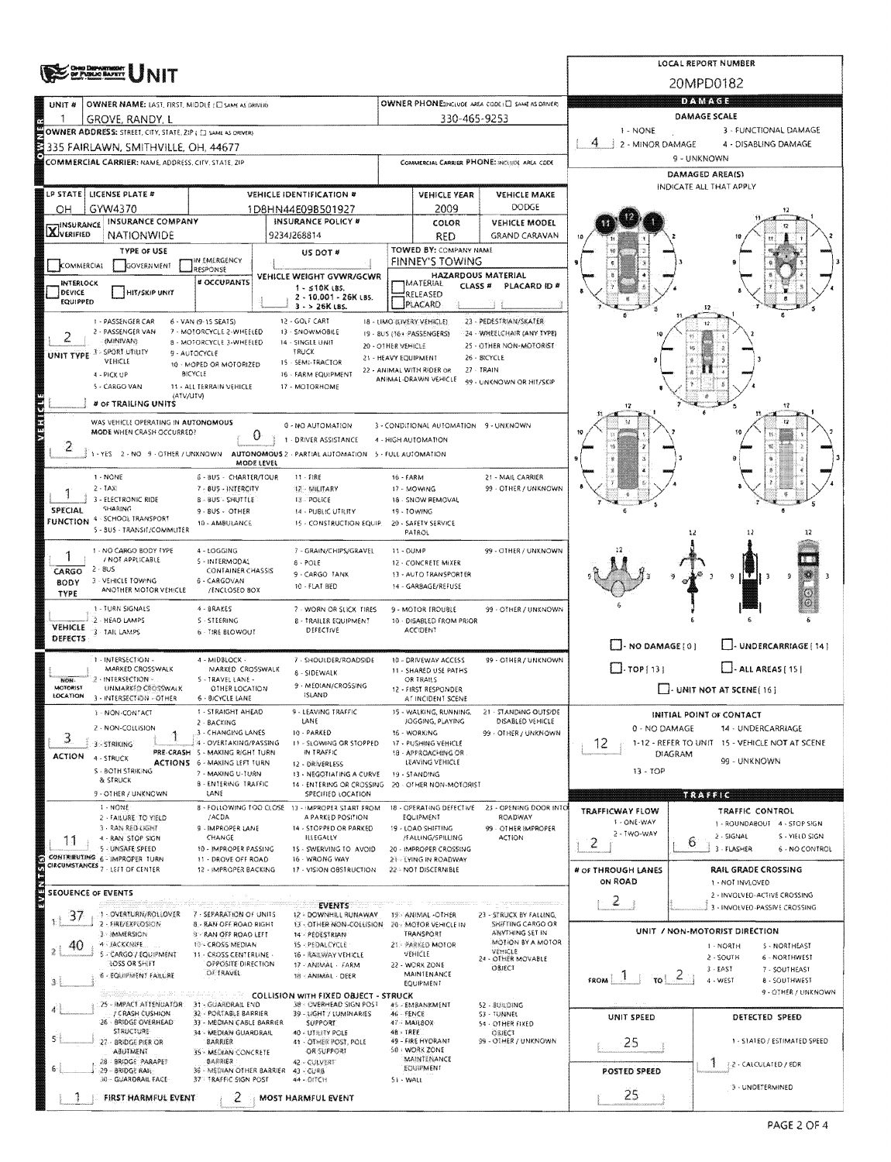|                                                                                                                                                        | LOCAL REPORT NUMBER                              |                                                   |                                                      |                                                |                                                                      |  |  |  |  |  |
|--------------------------------------------------------------------------------------------------------------------------------------------------------|--------------------------------------------------|---------------------------------------------------|------------------------------------------------------|------------------------------------------------|----------------------------------------------------------------------|--|--|--|--|--|
| NG DIKPANTHIKNY<br>! PVINJO BAZKYT                                                                                                                     | 20MPD0182                                        |                                                   |                                                      |                                                |                                                                      |  |  |  |  |  |
| OWNER NAME: LAST, FIRST, MIDDLE (C) SAME AS ORIVERY<br>UNIT#                                                                                           | OWNER PHONE:INCLUDE AREA CODE (E) SAME AS DRIVER | <b>DAMAGE</b>                                     |                                                      |                                                |                                                                      |  |  |  |  |  |
| 1<br>GROVE, RANDY, L                                                                                                                                   |                                                  | 330-465-9253                                      |                                                      | DAMAGE SCALE                                   |                                                                      |  |  |  |  |  |
| OWNER ADDRESS: STREET, CITY, STATE, 21P ( C) SAME AS ORIVERY                                                                                           |                                                  |                                                   | $1 - NONE$<br>4                                      | 3 - FUNCTIONAL DAMAGE                          |                                                                      |  |  |  |  |  |
| 335 FAIRLAWN, SMITHVILLE, OH, 44677                                                                                                                    |                                                  |                                                   |                                                      | 2 - MINOR DAMAGE                               | 4 - DISABLING DAMAGE<br>9 - UNKNOWN                                  |  |  |  |  |  |
| COMMERCIAL CARRIER: NAME, ADDRESS, CITY, STATE, 2IP                                                                                                    |                                                  |                                                   | COMMERCIAL CARRIER PHONE: INCLUDE AREA CODE          |                                                | DAMAGED AREA(S)                                                      |  |  |  |  |  |
| LP STATE   LICENSE PLATE #<br><b>VEHICLE IDENTIFICATION #</b>                                                                                          |                                                  | <b>VEHICLE YEAR</b>                               | <b>VEHICLE MAKE</b>                                  |                                                | INDICATE ALL THAT APPLY                                              |  |  |  |  |  |
| GYW4370<br>OН<br>1D8HN44E09B501927                                                                                                                     |                                                  | 2009                                              | <b>DODGE</b>                                         |                                                |                                                                      |  |  |  |  |  |
| INSURANCE COMPANY<br><b>INSURANCE POLICY #</b><br><b>X</b> INSURANCE                                                                                   |                                                  | COLOR                                             | <b>VEHICLE MODEL</b>                                 |                                                |                                                                      |  |  |  |  |  |
| <b>NATIONWIDE</b><br>9234J268814                                                                                                                       |                                                  | RED                                               | <b>GRAND CARAVAN</b>                                 |                                                |                                                                      |  |  |  |  |  |
| <b>TYPE OF USE</b><br>US DOT #<br>IN EMERGENCY                                                                                                         |                                                  | TOWED BY: COMPANY NAME<br><b>FINNEY'S TOWING</b>  |                                                      |                                                |                                                                      |  |  |  |  |  |
| COMMERCIAL<br><b>GOVERNMENT</b><br>RESPONSE<br>VEHICLE WEIGHT GVWR/GCWR                                                                                |                                                  | HAZARDOUS MATERIAL                                |                                                      |                                                |                                                                      |  |  |  |  |  |
| # OCCUPANTS<br>INTERLOCK<br>$1 - 510K$ LBS.<br>DEVICE<br>HIT/SKIP UNIT<br>2 - 10.001 - 26K LBS.                                                        |                                                  | MATERIAL<br>CLASS <sup>#</sup><br>RELEASED        | PLACARD ID #                                         |                                                |                                                                      |  |  |  |  |  |
| <b>EQUIPPED</b><br>$3 - 26K$ LBS.                                                                                                                      |                                                  | PLACARD                                           |                                                      |                                                |                                                                      |  |  |  |  |  |
| 12 - GOLF CART<br>1 - PASSENGER CAR<br>6 - VAN (9-15 SEATS)<br>2 - PASSENGER VAN<br>7 - MOTORCYCLE 2-WHEELED<br>13 - SNOWMOBILE                        | 18 - LIMO (LIVERY VEHICLE)                       |                                                   | 23 - PEDESTRIAN/SKATER<br>24 - WHEELCHAIR (ANY TYPE) |                                                |                                                                      |  |  |  |  |  |
| 2<br>(MINIVAN)<br>8 - MOTORCYCLE 3-WHEELED<br>14 - SINGLE UNIT                                                                                         | 20 - OTHER MEHICLE                               | 19 - BUS (16+ PASSENGERS)                         | 25 - OTHER NON-MOTORIST                              |                                                |                                                                      |  |  |  |  |  |
| 3 > SPORT UTILITY<br>TRUCK<br>9 - AUTOCYCLE<br>UNIT TYPE<br>VEHICLE<br>15 - SEMI-TRACTOR<br>10 - MOPED OR MOTORIZED                                    | 21 - HEAVY EQUIPMENT                             |                                                   | 26 - BICYCLE                                         |                                                |                                                                      |  |  |  |  |  |
| BICYCLE<br>16 - FARM EQUIPMENT<br>4 - PICK UP                                                                                                          |                                                  | 22 - ANIMAL WITH RIDER OR<br>ANIMAL-DRAWN VEHICLE | 27 - TRAIN<br>99 - UNKNOWN OR HIT/SKIP               |                                                |                                                                      |  |  |  |  |  |
| 5 - CARGO VAN<br>17 - MOTORHOME<br>11 - ALL TERRAIN VEHICLE<br>(ATV/UTV)                                                                               |                                                  |                                                   |                                                      |                                                |                                                                      |  |  |  |  |  |
| # OF TRAILING UNITS                                                                                                                                    |                                                  |                                                   |                                                      | 12                                             | 12                                                                   |  |  |  |  |  |
| <b>Mana</b><br>WAS VEHICLE OPERATING IN AUTONOMOUS<br>0 - NO AUTOMATION<br>MODE WHEN CRASH OCCURRED?<br>0                                              |                                                  | 3 - CONDITIONAL AUTOMATION 9 - UNKNOWN            |                                                      |                                                | 12                                                                   |  |  |  |  |  |
| 1 - DRIVER ASSISTANCE<br>2                                                                                                                             |                                                  | 4 - HIGH AUTOMATION                               |                                                      |                                                |                                                                      |  |  |  |  |  |
| 1 - YES 2 - NO 9 - OTHER / UNKNOWN<br>AUTONOMOUS 2 - PARTIAL AUTOMATION 5 - FULL AUTOMATION<br>MODE LEVEL                                              |                                                  |                                                   |                                                      |                                                |                                                                      |  |  |  |  |  |
| 1 - NONE<br>6 - BUS - CHARTER/TOUR<br>$11 - FIRE$                                                                                                      | 16 - FARM                                        |                                                   | 21 - MAIL CARRIER                                    |                                                |                                                                      |  |  |  |  |  |
| $2 - 1AX$<br>7 - 8US - INTERCITY<br>12 MILITARY<br>3 - ELECTRONIC RIDE<br><b>B-BUS-SHUTTLE</b><br><b>FE-POLICE</b>                                     |                                                  | 17 - MOWING<br>18 - SNOW REMOVAL                  | 99 - OTHER / UNKNOWN                                 |                                                |                                                                      |  |  |  |  |  |
| SHARING<br><b>SPECIAL</b><br>$9 - 8US - OTHER$<br>14 - PUBLIC UTILITY<br><b>FUNCTION 4 - SCHOOL TRANSPORT</b>                                          |                                                  | 19 - TOWING                                       |                                                      | 16                                             |                                                                      |  |  |  |  |  |
| 10 - AMBULANCE<br>15 - CONSTRUCTION EQUIP.<br>5 - BUS - TRANSIT/COMMUTER                                                                               |                                                  | 20 - SAFETY SERVICE<br>PATROL                     |                                                      |                                                | 12                                                                   |  |  |  |  |  |
| 1 - NO CARGO BODY TYPE<br>4 - LOGGING<br>7 - GRAIN/CHIPS/GRAVEL                                                                                        | 11 - DUMP                                        |                                                   | 99 - OTHER / UNKNOWN                                 |                                                |                                                                      |  |  |  |  |  |
| / NOT APPLICABLE<br>5 - INTERMODAL<br>$8 - POLE$<br>$2 - 8US$<br><b>CONTAINER CHASSIS</b>                                                              |                                                  | 12 - CONCRETE MIXER                               |                                                      |                                                |                                                                      |  |  |  |  |  |
| CARGO<br>9-CARGO TANK<br>3 - VEHICLE TOWING<br>6 - CARGOVAN<br>BODY<br>10 - FLAT BED                                                                   |                                                  | 13 - AUTO TRANSPORTER<br>14 - GARBAGE/REFUSE      |                                                      |                                                | -9<br>9<br>- 3                                                       |  |  |  |  |  |
| ANOTHER MOTOR VEHICLE<br>/ENCLOSED BOX<br><b>TYPE</b>                                                                                                  |                                                  |                                                   |                                                      |                                                | ω                                                                    |  |  |  |  |  |
| 1 - TURN SIGNALS<br>4 - BRAKES<br>7 - WORN OR SLICK TIRES<br>2 - HEAD LAMPS<br>S - STEERING<br><b>8 - TRAILER EQUIPMENT</b>                            |                                                  | 9 - MOTOR TROUBLE<br>10 - DISABLED FROM PRIOR     | 99 - OTHER / UNKNOWN                                 |                                                |                                                                      |  |  |  |  |  |
| <b>VEHICLE</b><br>DEFECTIVE<br>3 TAIL LAMPS<br>6 - TIRE BLOWOUT<br>DEFECTS                                                                             |                                                  | <b>ACCIDENT</b>                                   |                                                      |                                                |                                                                      |  |  |  |  |  |
|                                                                                                                                                        |                                                  |                                                   |                                                      | $\Box$ - NO DAMAGE [ 0 ]                       | J- UNDERCARRIAGE [ 14 ]                                              |  |  |  |  |  |
| 1 - INTERSECTION -<br>4 - MIDBLOCK -<br>7 - SHOULDER/ROADSIDE<br>MARKED CROSSWALK<br>MARKED CROSSWALK<br>8 - SIDEWALK                                  |                                                  | 10 - DRIVEWAY ACCESS<br>11 - SHARED USE PATHS     | 99 - OTHER / UNKNOWN                                 | $\Box$ -TOP[13]                                | $-$ - ALL AREAS [15]                                                 |  |  |  |  |  |
| 2 - INTERSECTION<br>5 - TRAVEL LANE -<br>MON-<br>9 - MEDIAN/CROSSING<br><b>MOTORIST</b><br>UNMARKED CROSSWALK<br>OTHER LOCATION                        |                                                  | OR TRAILS<br>12 - FIRST RESPONDER                 |                                                      |                                                | I- UNIT NOT AT SCENE [16]                                            |  |  |  |  |  |
| <b>ISLAND</b><br>LOCATION<br>3 - INTERSECTION - OTHER<br>6 - BICYCLE LANE                                                                              |                                                  | AT INCIDENT SCENE                                 |                                                      |                                                |                                                                      |  |  |  |  |  |
| <b>3 - NON-CONTACT</b><br><b>1 - STRAIGHT AHEAD</b><br>9 - LEAVING TRAFFIC<br>LANE<br>2 - BACKING                                                      |                                                  | WALKING, RUNNING,<br>JOGGING, PLAYING             | 21 - STANDING OUTSIDE<br>DISABLED VEHICLE            |                                                | INITIAL POINT OF CONTACT                                             |  |  |  |  |  |
| 2 - NON-COLLISION<br>3 - CHANGING LANES<br>10 - PARKED<br>3<br>4 - OVERTAKING/PASSING<br>11 - SLOWING OR STOPPED<br>3 - STRIKING                       |                                                  | 16 - WORKING<br>17 - PUSHING VEHICLE              | 99 - OTHER / UNKNOWN                                 | 0 - NO DAMAGE                                  | 14 - UNDERCARRIAGE<br>1-12 - REFER TO UNIT 15 - VEHICLE NOT AT SCENE |  |  |  |  |  |
| PRE-CRASH 5 - MAKING RIGHT TURN<br>IN TRAFFIC<br><b>ACTION</b><br>4 - STRUCK                                                                           |                                                  | 18 - APPROACHING OR                               |                                                      | 12.                                            | <b>DIAGRAM</b><br>99 - UNKNOWN                                       |  |  |  |  |  |
| ACTIONS 6 - MAKING LEFT TURN<br>12 - DRIVERLESS<br>S - BOTH STRIKING<br>7 - MAXING U-TURN<br>13 - NEGOTIATING A CURVE                                  |                                                  | LEAVING VEHICLE<br>19 - STANDING                  |                                                      | 13 - TOP                                       |                                                                      |  |  |  |  |  |
| & STRUCK<br>8 - ENTERING TRAFFIC<br>14 - ENTERING OR CROSSING<br>9 - OTHER / UNKNOWN<br>LANE<br>SPECIFIED LOCATION                                     |                                                  | 20 - OTHER NON-MOTORIST                           |                                                      |                                                | <b>TRATIC</b>                                                        |  |  |  |  |  |
| 1 - NONE<br>8 - FOLLOWING TOO CLOSE 13 - IMPROPER START FROM                                                                                           |                                                  |                                                   | 18 - OPERATING DEFECTIVE 23 - OPENING DOOR INTO      | <b>TRAFFICWAY FLOW</b>                         | <b>TRAFFIC CONTROL</b>                                               |  |  |  |  |  |
| 2 - FAILURE TO YIELD<br>/ACDA<br>A PARKED POSITION<br>3 - RAN RED LIGHT<br>9 - IMPROPER LANE<br>14 - STOPPED OR PARKED                                 |                                                  | EQUIPMENT<br>19 - LOAD SHIFTING                   | ROADWAY<br>99 - OTHER IMPROPER                       | 1 - ONE-WAY                                    | 1 - ROUNDABOUT 4 - STOP SIGN                                         |  |  |  |  |  |
| CHANGE<br>ILLEGALLY<br>4 - RAN STOP SIGN<br>11                                                                                                         |                                                  | /FALLING/SPILLING                                 | ACTION                                               | 2 - TWO-WAY<br>$\mathbf{z}$                    | 2 - SIGNAL<br>S - YIELD SIGN<br>b                                    |  |  |  |  |  |
| 5 - UNSAFE SPEED<br>10 - IMPROPER PASSING<br>15 - SWERVING TO AVOID<br>CONTRIBUTING 6 - IMPROPER TURN<br>11 - DROVE OFF ROAD<br>16 - WRONG WAY         |                                                  | 20 - IMPROPER CROSSING<br>21 - LYING IN ROADWAY   |                                                      |                                                | 3 - FLASHER<br>6 - NO CONTROL                                        |  |  |  |  |  |
| CIRCUMSTANCES 7 - LEFT OF CENTER<br>12 - IMPROPER BACKING<br>17 - VISION OBSTRUCTION                                                                   |                                                  | 22 - NOT DISCERNIBLE                              |                                                      | # of THROUGH LANES<br>ON ROAD                  | RAIL GRADE CROSSING                                                  |  |  |  |  |  |
| SEOUENCE OF EVENTS                                                                                                                                     |                                                  |                                                   |                                                      |                                                | 1 - NOT INVLOVED<br>2 - INVOLVED-ACTIVE CROSSING                     |  |  |  |  |  |
| <b>EVENTS</b><br>1 - OVERTURN/ROLLOVER<br>7 - SEPARATION OF UNITS<br>12 - DOWNHILL RUNAWAY<br>37                                                       |                                                  | 19 - ANIMAL -OTHER                                | 23 - STRUCK BY FALLING,                              | -2                                             | 3 - INVOLVED-PASSIVE CROSSING                                        |  |  |  |  |  |
| 2 - FIRE/EXPLOSION<br>8 - RAN OFF ROAD RIGHT<br>13 - OTHER NON-COLLISION                                                                               |                                                  | 20 MOTOR VEHICLE IN                               | SHIFTING CARGO OR<br>ANYTHING SET IN                 |                                                | UNIT / NON-MOTORIST DIRECTION                                        |  |  |  |  |  |
| . 3 - Immersion<br><b>3 - RAN OFF ROAD LEFT</b><br>14 - PEDESTRIAN<br>4 - JACKKNIFE<br>10 - CROSS MEDIAN<br>15 - PEDALCYCLE<br>40                      |                                                  | TRANSPORT<br>21 PARKED MOTOR                      | MOTION BY A MOTOR                                    |                                                | <b>I-NORTH</b><br>5 - NORTHEAST                                      |  |  |  |  |  |
| 5 - CARGO / EQUIPMENT<br><b>11. CROSS CENTERLINE.</b><br>16 - RAILWAY VEHICLE<br>LOSS OR SHIFT<br>OPPOSITE DIRECTION<br>17 - ANIMAL - FARM             |                                                  | VEHICLE<br>22 - WORK ZONE                         | VEHICLE<br>24 - OTHER MOVABLE                        |                                                | 6 - NORTHWEST<br>2 - SOUTH                                           |  |  |  |  |  |
| OF TRAVEL<br>6 - EQUIPMENT FAILURE<br>18 ANIMAL - DEER                                                                                                 |                                                  | MAINTENANCE<br>EQUIPMENT                          | OBJECT                                               | $F_{\text{ROM}}$ $1$<br>$\tau_0$ $\geq$ $\geq$ | $3 - EAST$<br>7 - SOUTHEAST<br>4 - WEST<br>8 - SOUTHWEST             |  |  |  |  |  |
| <b>COLLISION WITH FIXED OBJECT - STRUCK</b>                                                                                                            |                                                  |                                                   |                                                      |                                                | 9 - OTHER / UNKNOWN                                                  |  |  |  |  |  |
| 25 - IMPACT ATTENUATOR:<br>31 - GUARDRAIL END<br>38 - OVERHEAD SIGN POST<br><b>/ CRASH CUSHION</b><br>32 - PORTABLE BARRIER<br>39 - LIGHT / LUMINARIES | 46-FENCE                                         | 45 - EMBANKMENT                                   | 52 - 舰机OING<br>S3 - TUNNEL                           | UNIT SPEED                                     | DETECTED SPEED                                                       |  |  |  |  |  |
| 26 - BRIDGE OVERHEAD<br>33 - MEDIAN CABLE BARRIER<br><b>SUPPORT</b><br>STRUCTURE<br>34 - MEDIAN GUARDRAIL<br>40 - UTILITY POLE                         | 48 - TREE                                        | 47 - MAILBOX                                      | 54 OTHER FIXED<br>OBJECT                             |                                                |                                                                      |  |  |  |  |  |
| 27 - BRIDGE P/ER OR<br>BARRIER<br>41 - OTHER POST, POLE<br><b>OR SUPPORT</b>                                                                           |                                                  | 49 - FIRE HYDRANT<br>50 - WORK ZONE               | 99 - OTHER / UNKNOWN                                 | 25                                             | 1 - STATED / ESTIMATED SPEED                                         |  |  |  |  |  |
| ABUTMENT<br>35 - MEDIAN CONCRETE<br>28 - BRIDGE PARAPET<br>事典参院IER<br>42 - CULVERT                                                                     | <b>MAINTENANCE</b><br>EQUIPMENT                  |                                                   |                                                      |                                                | 2 - CALCULATED / EDR                                                 |  |  |  |  |  |
| 29 - BRIDGE RAIL<br>36 - MEDIAN OTHER BARRIER<br>43 - CURB<br>30 - GUARDRAIL FACE<br>377 TRAFFIC SIGN POST<br>44 - DITCH                               |                                                  | POSTED SPEED                                      |                                                      |                                                |                                                                      |  |  |  |  |  |
| FIRST HARMFUL EVENT<br>2<br>MOST HARMFUL EVENT                                                                                                         |                                                  |                                                   |                                                      | 25                                             | 3 - UNDETERMINED                                                     |  |  |  |  |  |
|                                                                                                                                                        |                                                  |                                                   |                                                      |                                                |                                                                      |  |  |  |  |  |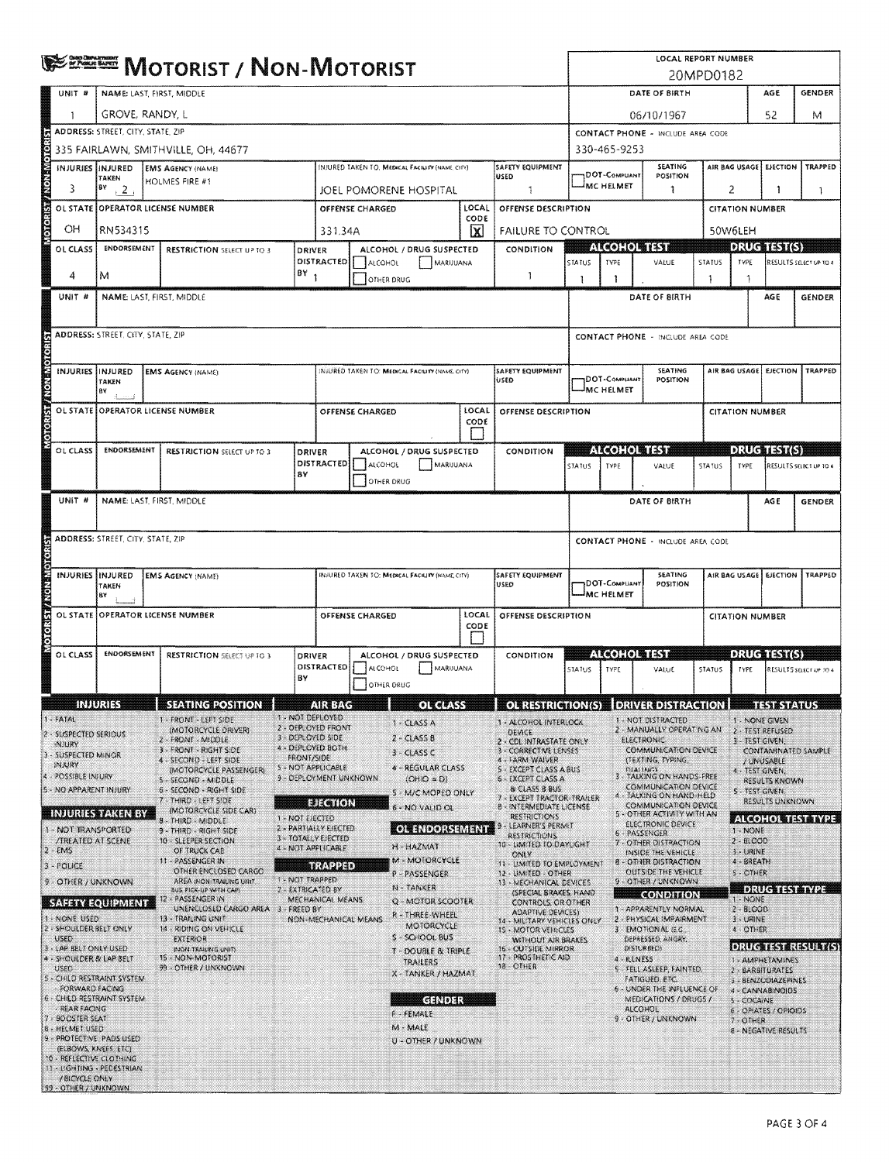|                                                     | <b>EXENE MOTORIST / NON-MOTORIST</b>                                     |  |                                                                                |         |                                                         |                        |                                                |               | LOCAL REPORT NUMBER<br>20MPD0182                                       |               |                                               |                                  |                                                                                |               |                                      |                                               |                            |  |
|-----------------------------------------------------|--------------------------------------------------------------------------|--|--------------------------------------------------------------------------------|---------|---------------------------------------------------------|------------------------|------------------------------------------------|---------------|------------------------------------------------------------------------|---------------|-----------------------------------------------|----------------------------------|--------------------------------------------------------------------------------|---------------|--------------------------------------|-----------------------------------------------|----------------------------|--|
| UNIT #                                              | NAME: LAST, FIRST, MIDDLE                                                |  |                                                                                |         |                                                         |                        |                                                |               | DATE OF BIRTH<br><b>GENDER</b><br>AGE                                  |               |                                               |                                  |                                                                                |               |                                      |                                               |                            |  |
|                                                     | GROVE, RANDY, L                                                          |  |                                                                                |         |                                                         |                        |                                                |               | 06/10/1967                                                             |               |                                               |                                  |                                                                                | 52            | М                                    |                                               |                            |  |
|                                                     | <b>ADDRESS: STREET, CITY, STATE, ZIP</b>                                 |  |                                                                                |         |                                                         |                        |                                                |               | CONTACT PHONE - INCLUDE AREA CODE                                      |               |                                               |                                  |                                                                                |               |                                      |                                               |                            |  |
|                                                     |                                                                          |  | 335 FAIRLAWN, SMITHVILLE, OH, 44677                                            |         |                                                         |                        |                                                |               |                                                                        |               | 330-465-9253                                  |                                  |                                                                                |               |                                      |                                               |                            |  |
|                                                     | INJURIES IINJURED<br><b>EMS AGENCY (NAME)</b><br>TAKEN<br>HOLMES FIRE #1 |  |                                                                                |         |                                                         |                        | INJURED TAKEN TO, MEDICAL FACILITY (NAME CITY) |               | <b>SAFETY EQUIPMENT</b><br>luseo                                       |               | SEATING<br>1DOT-Compuant<br>POSITION          |                                  |                                                                                |               | AIR BAG USAGE                        | <b>EJECTION</b>                               | TRAPPED                    |  |
| 3                                                   | BΥ<br>$, 2$ .                                                            |  |                                                                                |         |                                                         |                        | JOEL POMORENE HOSPITAL                         |               | 1                                                                      | MC HELMET     |                                               |                                  | 1                                                                              |               | 2<br>-1                              |                                               | 1.                         |  |
| <b>MOTORIST/NON-MOTOR</b>                           |                                                                          |  | OL STATE OPPERATOR LICENSE NUMBER                                              |         |                                                         | <b>OFFENSE CHARGED</b> |                                                | LOCAL<br>CODE | OFFENSE DESCRIPTION                                                    |               |                                               |                                  |                                                                                |               | <b>CITATION NUMBER</b>               |                                               |                            |  |
| OН<br>OL CLASS                                      | RN534315<br><b>ENDORSEMENT</b>                                           |  |                                                                                |         | 331.34A                                                 |                        | ALCOHOL / DRUG SUSPECTED                       | ⊠             | <b>FAILURE TO CONTROL</b><br>CONDITION                                 |               | 1160, 10011711                                |                                  |                                                                                |               | 50W6LEH<br><b>DRUG TEST(S)</b>       |                                               |                            |  |
|                                                     |                                                                          |  | <b>RESTRICTION SELECT UP TO 3</b>                                              |         | DRIVER<br>DISTRACTED                                    | <b>ALCOHOL</b>         | MARIJUANA                                      |               |                                                                        | STATUS        | TYPE                                          |                                  | VALUE                                                                          | STATUS        | TYPE                                 |                                               | RESULTS SELECT UP TO 4     |  |
| 4                                                   | М                                                                        |  |                                                                                | $18Y_1$ |                                                         |                        | OTHER DRUG                                     |               | -1                                                                     | 1             | 1                                             |                                  |                                                                                | 1             | -1                                   |                                               |                            |  |
| UNIT #                                              |                                                                          |  | NAME LAST, FIRST, MIDDLE                                                       |         |                                                         |                        |                                                |               |                                                                        |               |                                               |                                  | DATE OF BIRTH                                                                  |               |                                      | AGE                                           | GENDER                     |  |
|                                                     | <b>ADDRESS: STREET, CITY, STATE, ZIP</b>                                 |  |                                                                                |         |                                                         |                        |                                                |               |                                                                        |               |                                               |                                  | CONTACT PHONE - INCLUDE AREA CODE                                              |               |                                      |                                               |                            |  |
| <b>GREGIC</b>                                       |                                                                          |  |                                                                                |         |                                                         |                        |                                                |               |                                                                        |               |                                               |                                  |                                                                                |               |                                      |                                               |                            |  |
|                                                     | INJURIES IINJURED                                                        |  | <b>EMS AGENCY (NAME)</b>                                                       |         |                                                         |                        | NIURED TAKEN TO: MEDICAL FACIUTY (NAME CITY)   |               | <b>SAFETY EQUIPMENT</b><br>USED                                        |               | DOT-COMPUANT                                  |                                  | SEATING<br>POSITION                                                            |               | TRAPPED<br>AIR BAG USAGE<br>EICCTION |                                               |                            |  |
|                                                     | ΤΑΚΕΝ<br>B٧                                                              |  |                                                                                |         |                                                         |                        |                                                |               |                                                                        |               | MC HELMET                                     |                                  |                                                                                |               |                                      |                                               |                            |  |
|                                                     |                                                                          |  | OL STATE OPERATOR LICENSE NUMBER                                               |         |                                                         | OFFENSE CHARGED        |                                                | LOCAL<br>CODE | OFFENSE DESCRIPTION                                                    |               |                                               |                                  |                                                                                |               | <b>CITATION NUMBER</b>               |                                               |                            |  |
| Mondasia                                            |                                                                          |  |                                                                                |         |                                                         |                        |                                                |               |                                                                        |               |                                               |                                  |                                                                                |               |                                      |                                               |                            |  |
| OL CLASS                                            | ENDORSEMENT                                                              |  | <b>RESTRICTION</b> SELECT UP TO 3                                              |         | <b>DRIVER</b><br>DISTRACTED                             | <b>ALCOHOL</b>         | ALCOHOL / DRUG SUSPECTED<br>MARIJUANA          |               | CONDITION                                                              | STATUS        | <b>ALCOHOL TEST</b><br><b>TYPE</b>            |                                  | VALUE                                                                          | <b>STATUS</b> | <b>TYPE</b>                          | <b>DRUG TEST(S)</b><br>RESULTS SELECT UP TO 4 |                            |  |
|                                                     |                                                                          |  |                                                                                | 8Y      |                                                         |                        | OTHER DRUG                                     |               |                                                                        |               |                                               |                                  |                                                                                |               |                                      |                                               |                            |  |
| UNIT #                                              |                                                                          |  | NAME: LAST, FIRST, MIDDLE                                                      |         |                                                         |                        |                                                |               |                                                                        |               |                                               |                                  | DATE OF BIRTH                                                                  |               |                                      | AGE                                           | <b>GENDER</b>              |  |
|                                                     |                                                                          |  |                                                                                |         |                                                         |                        |                                                |               |                                                                        |               |                                               |                                  |                                                                                |               |                                      |                                               |                            |  |
|                                                     | <b>ADDRESS: STREET, CITY, STATE, ZIP</b>                                 |  |                                                                                |         |                                                         |                        |                                                |               |                                                                        |               |                                               |                                  | <b>CONTACT PHONE - INCLUDE AREA CODE</b>                                       |               |                                      |                                               |                            |  |
|                                                     |                                                                          |  |                                                                                |         |                                                         |                        |                                                |               | SAFETY EQUIPMENT                                                       |               |                                               |                                  | <b>SEATING</b>                                                                 |               |                                      | AIR BAG USAGE EJECTION                        | TRAPPED                    |  |
|                                                     | <b>INJURIES IINJURED</b><br><b>EMS AGENCY (NAME)</b><br>TAKEN<br>B٧      |  |                                                                                |         | INJURED TAKEN TO: MEDICAL FACILITY (NAME, CITY)<br>USED |                        |                                                |               |                                                                        |               | <b>DOT-COMPUANT</b><br>POSITION<br>IMC HELMET |                                  |                                                                                |               |                                      |                                               |                            |  |
|                                                     | OL STATE OPERATOR LICENSE NUMBER                                         |  |                                                                                |         | LOCAL<br>OFFENSE CHARGED<br>OFFENSE DESCRIPTION         |                        |                                                |               |                                                                        |               | <b>CITATION NUMBER</b>                        |                                  |                                                                                |               |                                      |                                               |                            |  |
| <b>Statisfakonskoran</b>                            |                                                                          |  |                                                                                |         |                                                         |                        |                                                | CODE          |                                                                        |               |                                               |                                  |                                                                                |               |                                      |                                               |                            |  |
| OL CLASS                                            | <b>ENDORSEMENT</b>                                                       |  | <b>RESTRICTION SELECT UP TO 3</b>                                              |         | DRIVER                                                  |                        | ALCOHOL / DRUG SUSPECTED                       |               | CONDITION                                                              |               | (1000)(0)                                     |                                  |                                                                                |               |                                      | <b>DRUGHASI(S)</b>                            |                            |  |
|                                                     |                                                                          |  |                                                                                | BY      | DISTRACTED                                              | <b>ALCOHOL</b>         | MARIJUANA<br>OTHER DRUG                        |               |                                                                        | <b>STATUS</b> | <b>TYPE</b>                                   |                                  | VALUE                                                                          | STATUS        | <b>TYPE</b>                          |                                               | RESULTS SELECT UP TO 4     |  |
|                                                     | <b>INJURISS</b>                                                          |  | SEATING POSITION                                                               |         | <b>AIR BAG</b>                                          |                        | 8<br><b>GREEKS</b>                             |               | OL RESTRICTION(S)   DRIVER DISTRACTION                                 |               |                                               |                                  |                                                                                |               |                                      | <b>TEST STATUS</b>                            |                            |  |
| $1 - FATAI$                                         |                                                                          |  | 1 - FRONT - LEFT SIDE                                                          |         | 1 - NOT DEPLOYED<br>2 - DEPLOYED FRONT                  |                        | 1 - CLASS A                                    |               | 1 - ALCOHOL INTERLOCK                                                  |               |                                               |                                  | 1 - NOT DISTRACTED                                                             |               | 1 - NONE GIVEN                       |                                               |                            |  |
| 2 - SUSPECTED SERIOUS<br>NJURY                      |                                                                          |  | (MOTORCYCLE DRIVER)<br>2 - FRONT - MIDDLE<br>3 - FRONT - RIGHT S.DE            |         | 3 - DEPLOYED SIDE<br>4 - DEPLOYED BOTH                  |                        | $2 - ClassB$                                   |               | DEVICE<br>2 - CDL INTRASTATE ONLY                                      |               |                                               | <b>ELECTRONIC</b>                | 2 - MANUALLY OPERATING AN<br>COMMUNICATION DEVICE                              |               | J - TEST GIVEN.                      | 2 TEST REFUSED                                |                            |  |
| 3 - SUSPECTED MINOR<br><b>INJURY</b>                |                                                                          |  | 4 - SECOND - LEFT SIDE<br>(MOTORCYCLE PASSENGER)                               |         | <b>FRONT/SIDE</b><br>S - NOT APPLICABLE                 |                        | $3 - CLASSC$<br>4 - REGULAR CLASS              |               | 3 - CORRECTIVE LENSES.<br>4 - FARM WAIVER<br>5 - EXCEPT CLASS A BUS    |               |                                               | <b>CHALLANGY</b>                 | (TEXTING, TYPING,                                                              |               | 4 - TEST GIVEN,                      | / UNUSABLE                                    | CONTAMINATED SAMPLE        |  |
| 4 - POSSIBLE INJURY<br>5 - NO APPARENT INJURY       |                                                                          |  | 5 - SECOND - MIDDLE<br>6 - SECONO - RIGHT SIDE                                 |         | 9 - DEPLOYMENT UNKNOWN                                  |                        | $(OHIO = DI$<br>5 - M/C MOPED ONLY             |               | <b>6 - EXCEPT CLASS A</b><br>& CLASS B BUS                             |               |                                               |                                  | 3 - TALKING ON HANDS-FREE<br>COMMUNICATION DEVICE                              |               | <b>S-TEST GIVEN.</b>                 | RESULTS KNOWN                                 |                            |  |
| <b>INJURIES TAKEN BY</b>                            |                                                                          |  | 7 - THIRD - LEFT SIDE<br>(MOTORCYCLE SIDE CAR)                                 |         | EJECTION                                                |                        | 6 - NO VALID OL                                |               | 7 - EXCEPT TRACTOR-TRAILER<br>8 - INTERMEDIATE LICENSE                 |               |                                               |                                  | 4 - TALKING ON HAND-HELD<br>COMMUNICATION DEVICE<br>5 - OTHER ACTIVITY WITH AN |               |                                      | RESULTS UNKNOWN                               |                            |  |
| 1 - NOT TRANSPORTED                                 |                                                                          |  | 8 - THIRD - MIDDLE<br>9 - THIRD - RIGHT SIDE                                   |         | 1 - NOT EJECTED<br>2 - PARTIALLY EJECTED                |                        | <b>OL ENDORSEMENT</b>                          |               | <b>RESTRICTIONS</b><br>LEARNER'S PERMIT<br>RESTRICTIONS                |               |                                               | 6 - PASSENGER                    | ELECTRONIC DEVICE                                                              |               | 1 - NONE                             |                                               | <b>ALCOHOL TEST TYPE</b>   |  |
| <b>TREATED AT SCENE</b><br>$2 - EMS$                |                                                                          |  | 10 - SLEEPER SECTION<br>OF TRUCK CAB                                           |         | 3 - TOTALLY EJECTED<br>4 - NOT APPLICABLE               |                        | H-HAZMAT                                       |               | 10 - LIMITED TO DAYLIGHT<br>ONLY                                       |               |                                               |                                  | 7 - OTHER DISTRACTION<br>INSIDE THE VEHICLE                                    |               | 2 - BLCOD<br>3 - URINE               |                                               |                            |  |
| 3 - POLICE                                          |                                                                          |  | 11 - PASSENGER IN<br>OTHER ENCLOSED CARGO                                      |         | ТКАРРЕД<br>1 - NOT TRAPPED                              |                        | M - MOTORCYCLE<br>P - PASSENGER                |               | 11 - LIMITED TO EMPLOYMENT<br>12 - LIMITED - OTHER                     |               |                                               |                                  | <b>8 - OTHER DISTRACTION</b><br>OUTSIDE THE VEHICLE                            |               | 4 - BREATH<br><b>S-OTHER</b>         |                                               |                            |  |
| 9 - OTHER / UNKNOWN                                 |                                                                          |  | AREA (NON-TRAILING UNIT)<br><b>BUS, PICK-UP WITH CAP)</b><br>12 - PASSENGER IN |         | 2 - EXTRICATED BY<br><b>MECHANICAL MEANS</b>            |                        | N-TANKER                                       |               | 13 - MECHANICAL DEVICES<br><b>(SPECIAL BRAKES, HAND</b>                |               |                                               |                                  | 9 - OTHER / UNKNOWN<br><b>CONDITION</b>                                        |               | 1 - NONE                             |                                               | <b>DRUG TESMAYPE</b>       |  |
| <b>SAFETY EQUIPMENT</b><br>1 - NONE USED            |                                                                          |  | UNENCLOSED CARGO AREA 3 - FREED BY<br>13 - TRAILING UNIT                       |         | NON-MECHANICAL MEANS                                    |                        | Q-MOTOR SCOOTER<br>R - THREE WHEEL             |               | CONTROLS, OR OTHER<br>ADAPTIVE DEVICES)<br>14 - MILITARY VEHICLES ONLY |               |                                               |                                  | 1 - APPARENTLY NORMAL<br>2 - PHYSICAL IMPAIRMENT                               |               | $2 - BLOGO$<br>3 - URINE             |                                               |                            |  |
| 2 - SHOULDER BELT ONLY<br><b>USED</b>               |                                                                          |  | 14 - RIDING ON VEHICLE<br><b>EXTERIOR</b>                                      |         |                                                         |                        | MOTORCYCLE<br>S - SCHOOL BUS                   |               | <b>15 - MOTOR VEHICLES</b><br>WITHOUT AIR BRAKES                       |               |                                               |                                  | 3 - EMOTIONAL (E.G.)<br>DEPRESSED, ANGRY,                                      |               | 4 - OTHER                            |                                               |                            |  |
| 3 - LAP BELT ONLY USED<br>4 - SHOULDER & LAP BELT   |                                                                          |  | INGN-TRAILING UNIT)<br>15 - NON-MOTORIST                                       |         |                                                         |                        | T - DOUBLE & TRIPLE<br>TRAILERS                |               | 16 - OUTSIDE MIRROR<br>17 - PROSTHETIC AID                             |               |                                               | <b>DISTURBED)</b><br>4 - ILLNESS |                                                                                |               |                                      | <b>1 - AMPHETAMINES</b>                       | <b>DRUG TEST RESULT(S)</b> |  |
| <b>USED</b><br>S - CHILD RESTRAINT SYSTEM           |                                                                          |  | 39 - OTHER / UNKNOWN                                                           |         |                                                         |                        | X - TANKER / HAZMAT                            |               | 18 - OTHER                                                             |               |                                               | <b>FATIGUED, ETC.</b>            | S - FELL ASLEEP, FAINTED,                                                      |               |                                      | 2 - BARBITURATES<br>3 - BENZODIAZEPINES       |                            |  |
| FORWARD FACING<br>6 - CHILD RESTRAINT SYSTEM        |                                                                          |  |                                                                                |         |                                                         |                        | <b>GENDER</b>                                  |               |                                                                        |               |                                               |                                  | <b>6 - UNDER THE INFLUENCE OF</b><br>MEDICATIONS / DRUGS /                     |               | S - COCAINE                          | 4 - CANNABINOIDS                              |                            |  |
| <b>REAR FACING</b><br>7 - SOOSTER SEAT              |                                                                          |  |                                                                                |         |                                                         |                        | $f - FEMALE$<br>M - MALE                       |               |                                                                        |               |                                               | <b>ALCOHOL</b>                   | 9 - OTHER / UNKNOWN                                                            |               | $7 - $ OTHER                         | 6 - OPIATES / OPIOIDS                         |                            |  |
| <b>8 - HELMET USED</b><br>9 - PROTECTIVE PADS USED  | (ELBOWS, KNEES, ETC)                                                     |  |                                                                                |         |                                                         |                        | U - OTHER / UNKNOWN                            |               |                                                                        |               |                                               |                                  |                                                                                |               |                                      | <b>8 - NEGATIVE RESULTS</b>                   |                            |  |
| 10 - REFLECTIVE CLOTHING<br>11-ISHTING - PEDESTRIAN |                                                                          |  |                                                                                |         |                                                         |                        |                                                |               |                                                                        |               |                                               |                                  |                                                                                |               |                                      |                                               |                            |  |
| / BICYCLE ONLY<br>199 - OTHER / UNKNOWN             |                                                                          |  |                                                                                |         |                                                         |                        |                                                |               |                                                                        |               |                                               |                                  |                                                                                |               |                                      |                                               |                            |  |